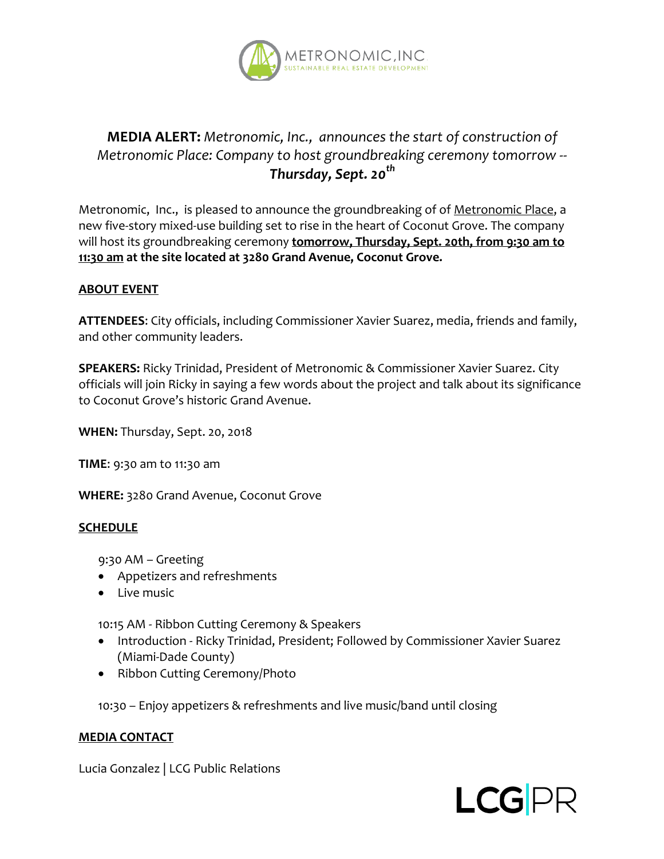

# **MEDIA ALERT:** *Metronomic, Inc., announces the start of construction of Metronomic Place: Company to host groundbreaking ceremony tomorrow -- Thursday, Sept. 20th*

Metronomic, Inc., is pleased to announce the groundbreaking of of Metronomic Place, a new five-story mixed-use building set to rise in the heart of Coconut Grove. The company will host its groundbreaking ceremony **tomorrow, Thursday, Sept. 20th, from 9:30 am to 11:30 am at the site located at 3280 Grand Avenue, Coconut Grove.**

#### **ABOUT EVENT**

**ATTENDEES**: City officials, including Commissioner Xavier Suarez, media, friends and family, and other community leaders.

**SPEAKERS:** Ricky Trinidad, President of Metronomic & Commissioner Xavier Suarez. City officials will join Ricky in saying a few words about the project and talk about its significance to Coconut Grove's historic Grand Avenue.

**WHEN:** Thursday, Sept. 20, 2018

**TIME**: 9:30 am to 11:30 am

**WHERE:** 3280 Grand Avenue, Coconut Grove

## **SCHEDULE**

9:30 AM – Greeting

- Appetizers and refreshments
- Live music

10:15 AM - Ribbon Cutting Ceremony & Speakers

- Introduction Ricky Trinidad, President; Followed by Commissioner Xavier Suarez (Miami-Dade County)
- Ribbon Cutting Ceremony/Photo

10:30 – Enjoy appetizers & refreshments and live music/band until closing

#### **MEDIA CONTACT**

Lucia Gonzalez | LCG Public Relations